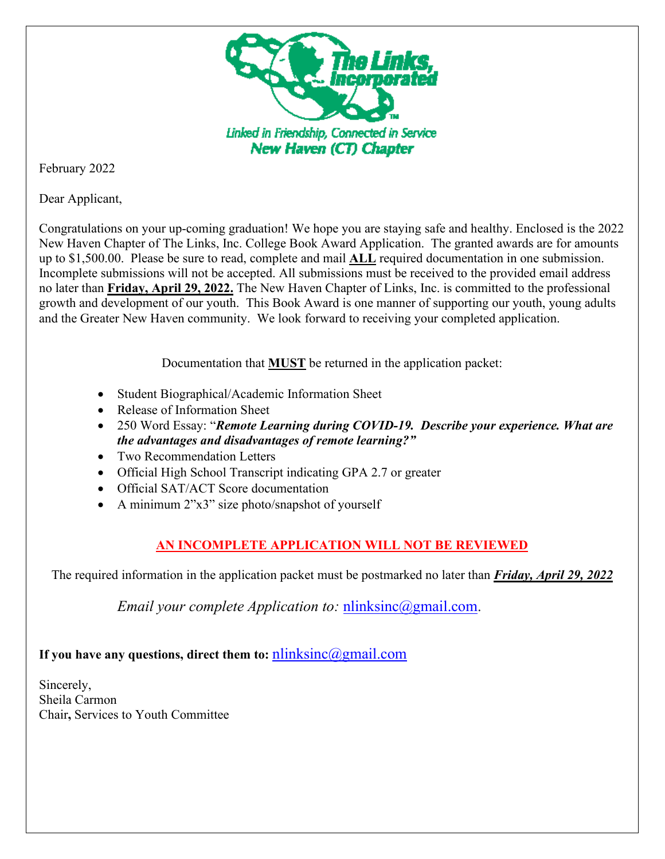

February 2022

Dear Applicant,

Congratulations on your up-coming graduation! We hope you are staying safe and healthy. Enclosed is the 2022 New Haven Chapter of The Links, Inc. College Book Award Application. The granted awards are for amounts up to \$1,500.00. Please be sure to read, complete and mail **ALL** required documentation in one submission. Incomplete submissions will not be accepted. All submissions must be received to the provided email address no later than **Friday, April 29, 2022.** The New Haven Chapter of Links, Inc. is committed to the professional growth and development of our youth. This Book Award is one manner of supporting our youth, young adults and the Greater New Haven community. We look forward to receiving your completed application.

Documentation that **MUST** be returned in the application packet:

- Student Biographical/Academic Information Sheet
- Release of Information Sheet
- 250 Word Essay: "*Remote Learning during COVID-19. Describe your experience. What are the advantages and disadvantages of remote learning?"*
- Two Recommendation Letters
- Official High School Transcript indicating GPA 2.7 or greater
- Official SAT/ACT Score documentation
- A minimum 2"x3" size photo/snapshot of yourself

# **AN INCOMPLETE APPLICATION WILL NOT BE REVIEWED**

The required information in the application packet must be postmarked no later than *Friday, April 29, 2022*

*Email your complete Application to:* [nlinksinc@gmail.com.](mailto:nlinksinc@gmail.com)

# **If you have any questions, direct them to:** [nlinksinc@gmail.com](mailto:nlinksinc@gmail.com)

Sincerely, Sheila Carmon Chair**,** Services to Youth Committee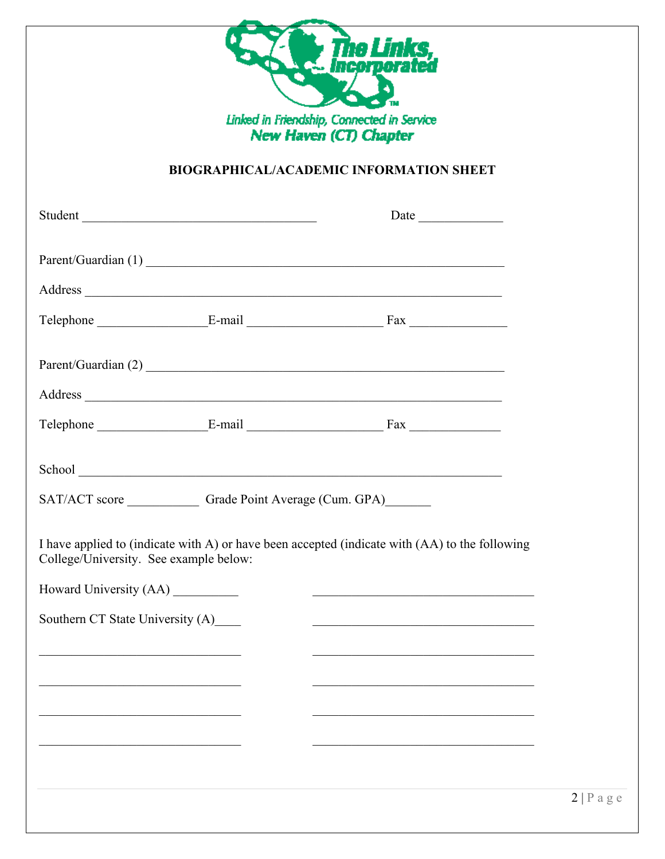

## **BIOGRAPHICAL/ACADEMIC INFORMATION SHEET**

|                                                                                                                               | Student                                      |                                                                                                                                                                                                                                                                                                                                                                |  |
|-------------------------------------------------------------------------------------------------------------------------------|----------------------------------------------|----------------------------------------------------------------------------------------------------------------------------------------------------------------------------------------------------------------------------------------------------------------------------------------------------------------------------------------------------------------|--|
|                                                                                                                               |                                              |                                                                                                                                                                                                                                                                                                                                                                |  |
|                                                                                                                               |                                              |                                                                                                                                                                                                                                                                                                                                                                |  |
|                                                                                                                               |                                              | Telephone E-mail E-mail Fax                                                                                                                                                                                                                                                                                                                                    |  |
|                                                                                                                               |                                              |                                                                                                                                                                                                                                                                                                                                                                |  |
|                                                                                                                               |                                              |                                                                                                                                                                                                                                                                                                                                                                |  |
|                                                                                                                               |                                              | Telephone E-mail E-mail Fax                                                                                                                                                                                                                                                                                                                                    |  |
|                                                                                                                               |                                              |                                                                                                                                                                                                                                                                                                                                                                |  |
|                                                                                                                               | SAT/ACT score Grade Point Average (Cum. GPA) |                                                                                                                                                                                                                                                                                                                                                                |  |
| College/University. See example below:                                                                                        |                                              | I have applied to (indicate with A) or have been accepted (indicate with (AA) to the following                                                                                                                                                                                                                                                                 |  |
|                                                                                                                               |                                              |                                                                                                                                                                                                                                                                                                                                                                |  |
| Howard University (AA)                                                                                                        |                                              |                                                                                                                                                                                                                                                                                                                                                                |  |
| Southern CT State University (A)<br>the control of the control of the control of the control of the control of the control of |                                              | <u> 2008 - Johann John Stone, mars et al. 1980 - John Stone, mars et al. 1980 - John Stone, mars et al. 1980 - John Stone</u><br>the control of the control of the control of the control of the control of the control of the control of the control of the control of the control of the control of the control of the control of the control of the control |  |
|                                                                                                                               |                                              |                                                                                                                                                                                                                                                                                                                                                                |  |
|                                                                                                                               |                                              |                                                                                                                                                                                                                                                                                                                                                                |  |
|                                                                                                                               |                                              |                                                                                                                                                                                                                                                                                                                                                                |  |
|                                                                                                                               |                                              |                                                                                                                                                                                                                                                                                                                                                                |  |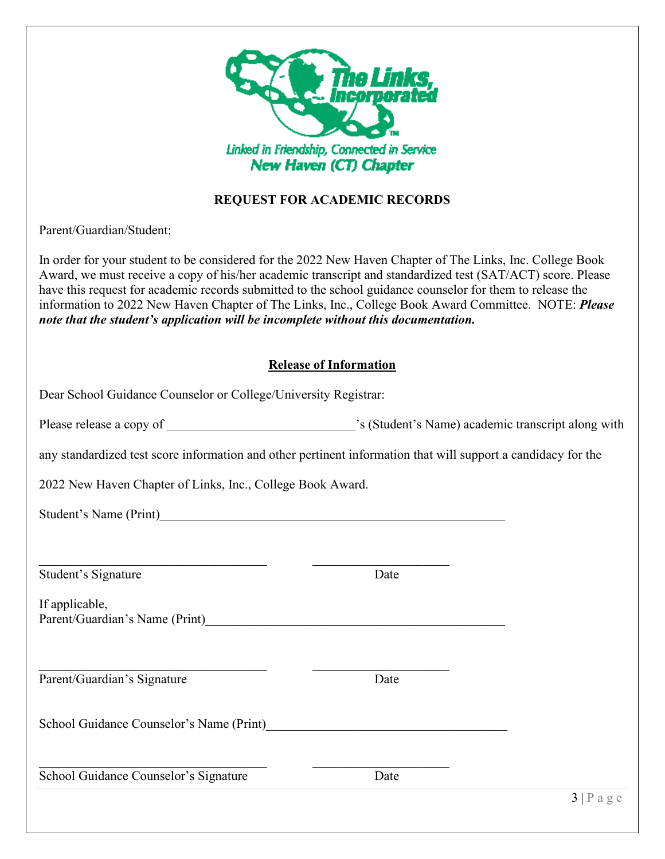

### **REQUEST FOR ACADEMIC RECORDS**

Parent/Guardian/Student:

In order for your student to be considered for the 2022 New Haven Chapter of The Links, Inc. College Book Award, we must receive a copy of his/her academic transcript and standardized test (SAT/ACT) score. Please have this request for academic records submitted to the school guidance counselor for them to release the information to 2022 New Haven Chapter of The Links, Inc., College Book Award Committee. NOTE: *Please note that the student's application will be incomplete without this documentation.*

#### **Release of Information**

| Dear School Guidance Counselor or College/University Registrar: |                                                                                                               |  |
|-----------------------------------------------------------------|---------------------------------------------------------------------------------------------------------------|--|
|                                                                 |                                                                                                               |  |
|                                                                 | any standardized test score information and other pertinent information that will support a candidacy for the |  |
| 2022 New Haven Chapter of Links, Inc., College Book Award.      |                                                                                                               |  |
|                                                                 |                                                                                                               |  |
|                                                                 |                                                                                                               |  |
| Student's Signature                                             | Date                                                                                                          |  |
| If applicable,                                                  |                                                                                                               |  |
| Parent/Guardian's Signature                                     | Date                                                                                                          |  |
|                                                                 |                                                                                                               |  |
| School Guidance Counselor's Signature                           | Date                                                                                                          |  |
|                                                                 | 3 Page                                                                                                        |  |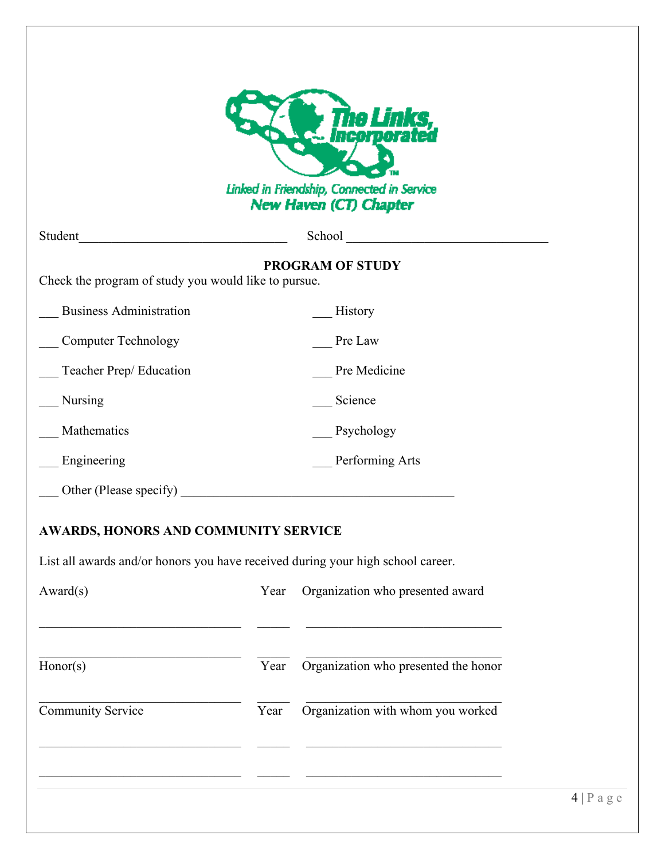| Linked in Friendship, Connected in Service<br>New Haven (CT) Chapter            |      |                                      |  |  |
|---------------------------------------------------------------------------------|------|--------------------------------------|--|--|
| Student                                                                         |      | School                               |  |  |
| Check the program of study you would like to pursue.                            |      | <b>PROGRAM OF STUDY</b>              |  |  |
| <b>Business Administration</b>                                                  |      | History                              |  |  |
| <b>Computer Technology</b>                                                      |      | Pre Law                              |  |  |
| Teacher Prep/ Education                                                         |      | Pre Medicine                         |  |  |
| Nursing                                                                         |      | Science                              |  |  |
| Mathematics                                                                     |      | Psychology                           |  |  |
| Engineering                                                                     |      | Performing Arts                      |  |  |
| Other (Please specify)                                                          |      |                                      |  |  |
| <b>AWARDS, HONORS AND COMMUNITY SERVICE</b>                                     |      |                                      |  |  |
| List all awards and/or honors you have received during your high school career. |      |                                      |  |  |
| Award(s)                                                                        | Year | Organization who presented award     |  |  |
|                                                                                 |      |                                      |  |  |
|                                                                                 | Year | Organization who presented the honor |  |  |
| Honor(s)                                                                        |      |                                      |  |  |
| Community Service                                                               | Year | Organization with whom you worked    |  |  |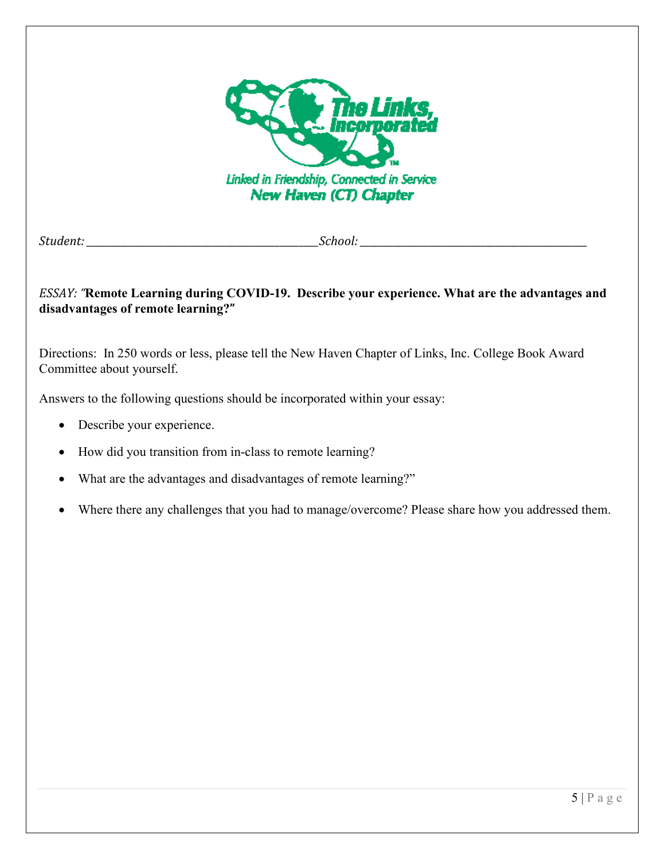

*Student: \_\_\_\_\_\_\_\_\_\_\_\_\_\_\_\_\_\_\_\_\_\_\_\_\_\_\_\_\_\_\_\_\_\_\_\_\_\_\_\_\_\_\_\_\_\_\_\_School: \_\_\_\_\_\_\_\_\_\_\_\_\_\_\_\_\_\_\_\_\_\_\_\_\_\_\_\_\_\_\_\_\_\_\_\_\_\_\_\_\_\_\_\_\_\_\_*

### *ESSAY: "***Remote Learning during COVID-19. Describe your experience. What are the advantages and disadvantages of remote learning?"**

Directions: In 250 words or less, please tell the New Haven Chapter of Links, Inc. College Book Award Committee about yourself.

Answers to the following questions should be incorporated within your essay:

- Describe your experience.
- How did you transition from in-class to remote learning?
- What are the advantages and disadvantages of remote learning?"
- Where there any challenges that you had to manage/overcome? Please share how you addressed them.